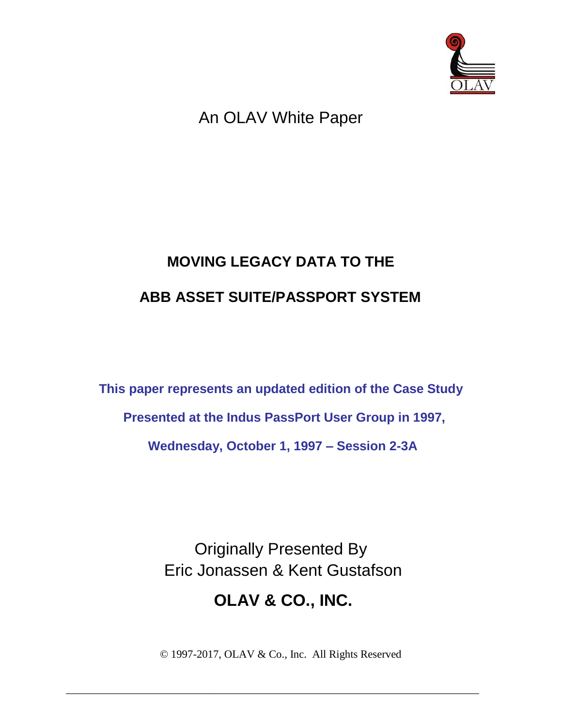

# An OLAV White Paper

# **MOVING LEGACY DATA TO THE ABB ASSET SUITE/PASSPORT SYSTEM**

**This paper represents an updated edition of the Case Study Presented at the Indus PassPort User Group in 1997, Wednesday, October 1, 1997 – Session 2-3A** 

> Originally Presented By Eric Jonassen & Kent Gustafson

# **OLAV & CO., INC.**

© 1997-2017, OLAV & Co., Inc. All Rights Reserved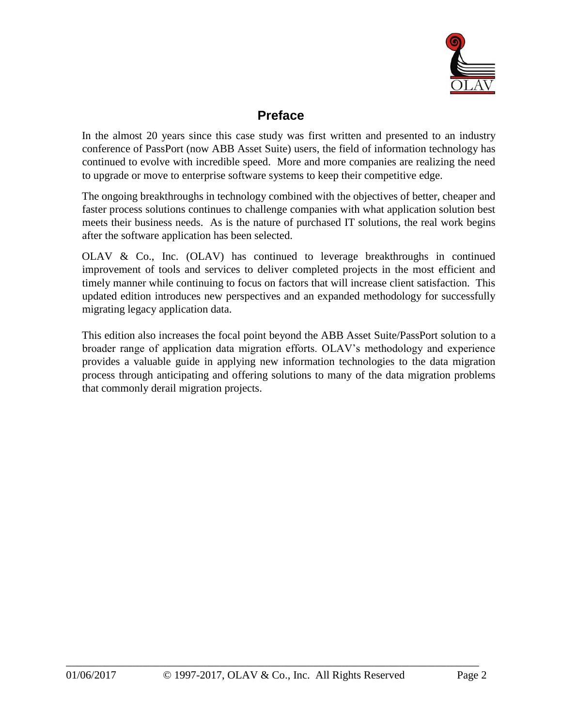

### **Preface**

In the almost 20 years since this case study was first written and presented to an industry conference of PassPort (now ABB Asset Suite) users, the field of information technology has continued to evolve with incredible speed. More and more companies are realizing the need to upgrade or move to enterprise software systems to keep their competitive edge.

The ongoing breakthroughs in technology combined with the objectives of better, cheaper and faster process solutions continues to challenge companies with what application solution best meets their business needs. As is the nature of purchased IT solutions, the real work begins after the software application has been selected.

OLAV & Co., Inc. (OLAV) has continued to leverage breakthroughs in continued improvement of tools and services to deliver completed projects in the most efficient and timely manner while continuing to focus on factors that will increase client satisfaction. This updated edition introduces new perspectives and an expanded methodology for successfully migrating legacy application data.

This edition also increases the focal point beyond the ABB Asset Suite/PassPort solution to a broader range of application data migration efforts. OLAV's methodology and experience provides a valuable guide in applying new information technologies to the data migration process through anticipating and offering solutions to many of the data migration problems that commonly derail migration projects.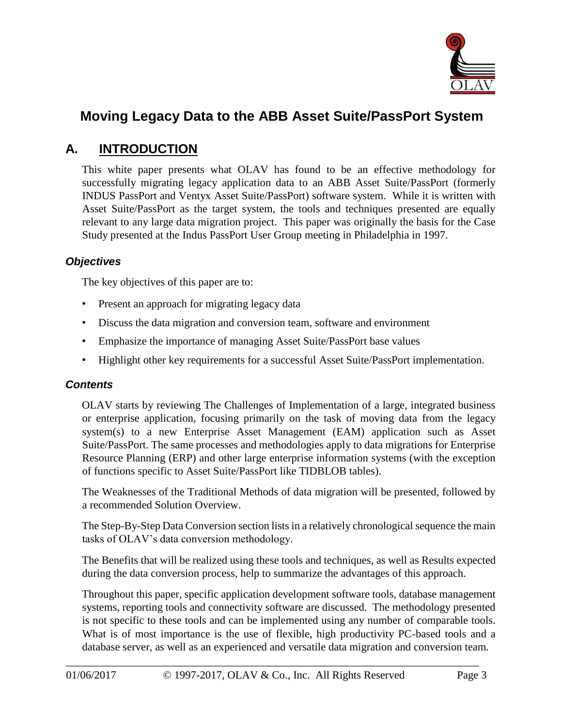

# **Moving Legacy Data to the ABB Asset Suite/PassPort System**

### **A. INTRODUCTION**

This white paper presents what OLAV has found to be an effective methodology for successfully migrating legacy application data to an ABB Asset Suite/PassPort (formerly INDUS PassPort and Ventyx Asset Suite/PassPort) software system. While it is written with Asset Suite/PassPort as the target system, the tools and techniques presented are equally relevant to any large data migration project. This paper was originally the basis for the Case Study presented at the Indus PassPort User Group meeting in Philadelphia in 1997.

#### *Objectives*

The key objectives of this paper are to:

- Present an approach for migrating legacy data
- Discuss the data migration and conversion team, software and environment
- Emphasize the importance of managing Asset Suite/PassPort base values
- Highlight other key requirements for a successful Asset Suite/PassPort implementation.

#### *Contents*

OLAV starts by reviewing The Challenges of Implementation of a large, integrated business or enterprise application, focusing primarily on the task of moving data from the legacy system(s) to a new Enterprise Asset Management (EAM) application such as Asset Suite/PassPort. The same processes and methodologies apply to data migrations for Enterprise Resource Planning (ERP) and other large enterprise information systems (with the exception of functions specific to Asset Suite/PassPort like TIDBLOB tables).

The Weaknesses of the Traditional Methods of data migration will be presented, followed by a recommended Solution Overview.

The Step-By-Step Data Conversion section lists in a relatively chronological sequence the main tasks of OLAV's data conversion methodology.

The Benefits that will be realized using these tools and techniques, as well as Results expected during the data conversion process, help to summarize the advantages of this approach.

Throughout this paper, specific application development software tools, database management systems, reporting tools and connectivity software are discussed. The methodology presented is not specific to these tools and can be implemented using any number of comparable tools. What is of most importance is the use of flexible, high productivity PC-based tools and a database server, as well as an experienced and versatile data migration and conversion team.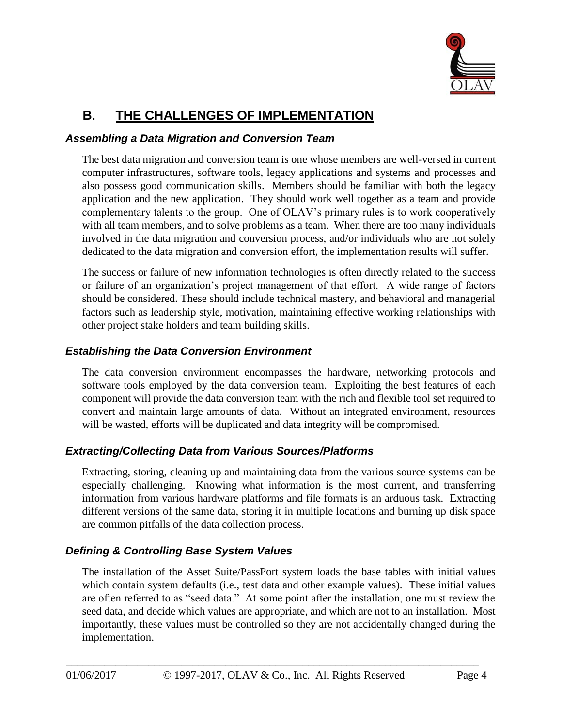

# **B. THE CHALLENGES OF IMPLEMENTATION**

#### *Assembling a Data Migration and Conversion Team*

The best data migration and conversion team is one whose members are well-versed in current computer infrastructures, software tools, legacy applications and systems and processes and also possess good communication skills. Members should be familiar with both the legacy application and the new application. They should work well together as a team and provide complementary talents to the group. One of OLAV's primary rules is to work cooperatively with all team members, and to solve problems as a team. When there are too many individuals involved in the data migration and conversion process, and/or individuals who are not solely dedicated to the data migration and conversion effort, the implementation results will suffer.

The success or failure of new information technologies is often directly related to the success or failure of an organization's project management of that effort. A wide range of factors should be considered. These should include technical mastery, and behavioral and managerial factors such as leadership style, motivation, maintaining effective working relationships with other project stake holders and team building skills.

#### *Establishing the Data Conversion Environment*

The data conversion environment encompasses the hardware, networking protocols and software tools employed by the data conversion team. Exploiting the best features of each component will provide the data conversion team with the rich and flexible tool set required to convert and maintain large amounts of data. Without an integrated environment, resources will be wasted, efforts will be duplicated and data integrity will be compromised.

#### *Extracting/Collecting Data from Various Sources/Platforms*

Extracting, storing, cleaning up and maintaining data from the various source systems can be especially challenging. Knowing what information is the most current, and transferring information from various hardware platforms and file formats is an arduous task. Extracting different versions of the same data, storing it in multiple locations and burning up disk space are common pitfalls of the data collection process.

#### *Defining & Controlling Base System Values*

The installation of the Asset Suite/PassPort system loads the base tables with initial values which contain system defaults (i.e., test data and other example values). These initial values are often referred to as "seed data." At some point after the installation, one must review the seed data, and decide which values are appropriate, and which are not to an installation. Most importantly, these values must be controlled so they are not accidentally changed during the implementation.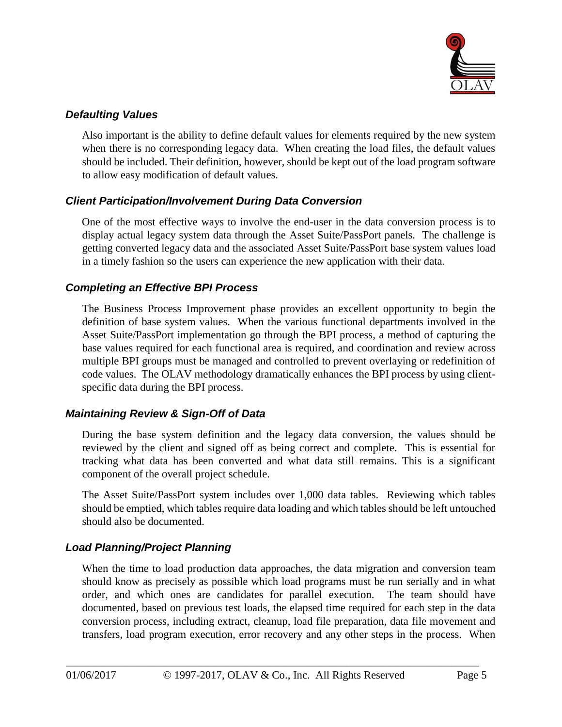

#### *Defaulting Values*

Also important is the ability to define default values for elements required by the new system when there is no corresponding legacy data. When creating the load files, the default values should be included. Their definition, however, should be kept out of the load program software to allow easy modification of default values.

#### *Client Participation/Involvement During Data Conversion*

One of the most effective ways to involve the end-user in the data conversion process is to display actual legacy system data through the Asset Suite/PassPort panels. The challenge is getting converted legacy data and the associated Asset Suite/PassPort base system values load in a timely fashion so the users can experience the new application with their data.

#### *Completing an Effective BPI Process*

The Business Process Improvement phase provides an excellent opportunity to begin the definition of base system values. When the various functional departments involved in the Asset Suite/PassPort implementation go through the BPI process, a method of capturing the base values required for each functional area is required, and coordination and review across multiple BPI groups must be managed and controlled to prevent overlaying or redefinition of code values. The OLAV methodology dramatically enhances the BPI process by using clientspecific data during the BPI process.

#### *Maintaining Review & Sign-Off of Data*

During the base system definition and the legacy data conversion, the values should be reviewed by the client and signed off as being correct and complete. This is essential for tracking what data has been converted and what data still remains. This is a significant component of the overall project schedule.

The Asset Suite/PassPort system includes over 1,000 data tables. Reviewing which tables should be emptied, which tables require data loading and which tables should be left untouched should also be documented.

#### *Load Planning/Project Planning*

When the time to load production data approaches, the data migration and conversion team should know as precisely as possible which load programs must be run serially and in what order, and which ones are candidates for parallel execution. The team should have documented, based on previous test loads, the elapsed time required for each step in the data conversion process, including extract, cleanup, load file preparation, data file movement and transfers, load program execution, error recovery and any other steps in the process. When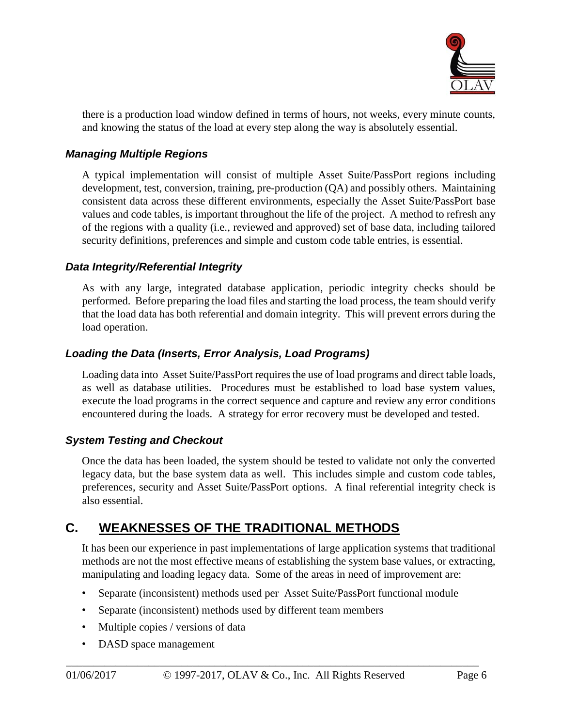

there is a production load window defined in terms of hours, not weeks, every minute counts, and knowing the status of the load at every step along the way is absolutely essential.

#### *Managing Multiple Regions*

A typical implementation will consist of multiple Asset Suite/PassPort regions including development, test, conversion, training, pre-production (QA) and possibly others. Maintaining consistent data across these different environments, especially the Asset Suite/PassPort base values and code tables, is important throughout the life of the project. A method to refresh any of the regions with a quality (i.e., reviewed and approved) set of base data, including tailored security definitions, preferences and simple and custom code table entries, is essential.

#### *Data Integrity/Referential Integrity*

As with any large, integrated database application, periodic integrity checks should be performed. Before preparing the load files and starting the load process, the team should verify that the load data has both referential and domain integrity. This will prevent errors during the load operation.

#### *Loading the Data (Inserts, Error Analysis, Load Programs)*

Loading data into Asset Suite/PassPort requires the use of load programs and direct table loads, as well as database utilities. Procedures must be established to load base system values, execute the load programs in the correct sequence and capture and review any error conditions encountered during the loads. A strategy for error recovery must be developed and tested.

#### *System Testing and Checkout*

Once the data has been loaded, the system should be tested to validate not only the converted legacy data, but the base system data as well. This includes simple and custom code tables, preferences, security and Asset Suite/PassPort options. A final referential integrity check is also essential.

### **C. WEAKNESSES OF THE TRADITIONAL METHODS**

It has been our experience in past implementations of large application systems that traditional methods are not the most effective means of establishing the system base values, or extracting, manipulating and loading legacy data. Some of the areas in need of improvement are:

- Separate (inconsistent) methods used per Asset Suite/PassPort functional module
- Separate (inconsistent) methods used by different team members
- Multiple copies / versions of data
- DASD space management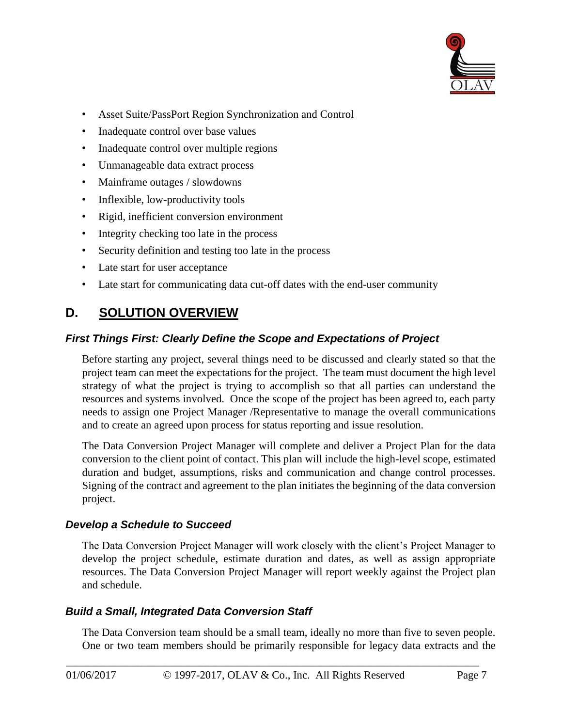

- Asset Suite/PassPort Region Synchronization and Control
- Inadequate control over base values
- Inadequate control over multiple regions
- Unmanageable data extract process
- Mainframe outages / slowdowns
- Inflexible, low-productivity tools
- Rigid, inefficient conversion environment
- Integrity checking too late in the process
- Security definition and testing too late in the process
- Late start for user acceptance
- Late start for communicating data cut-off dates with the end-user community

## **D. SOLUTION OVERVIEW**

#### *First Things First: Clearly Define the Scope and Expectations of Project*

Before starting any project, several things need to be discussed and clearly stated so that the project team can meet the expectations for the project. The team must document the high level strategy of what the project is trying to accomplish so that all parties can understand the resources and systems involved. Once the scope of the project has been agreed to, each party needs to assign one Project Manager /Representative to manage the overall communications and to create an agreed upon process for status reporting and issue resolution.

The Data Conversion Project Manager will complete and deliver a Project Plan for the data conversion to the client point of contact. This plan will include the high-level scope, estimated duration and budget, assumptions, risks and communication and change control processes. Signing of the contract and agreement to the plan initiates the beginning of the data conversion project.

#### *Develop a Schedule to Succeed*

The Data Conversion Project Manager will work closely with the client's Project Manager to develop the project schedule, estimate duration and dates, as well as assign appropriate resources. The Data Conversion Project Manager will report weekly against the Project plan and schedule.

#### *Build a Small, Integrated Data Conversion Staff*

The Data Conversion team should be a small team, ideally no more than five to seven people. One or two team members should be primarily responsible for legacy data extracts and the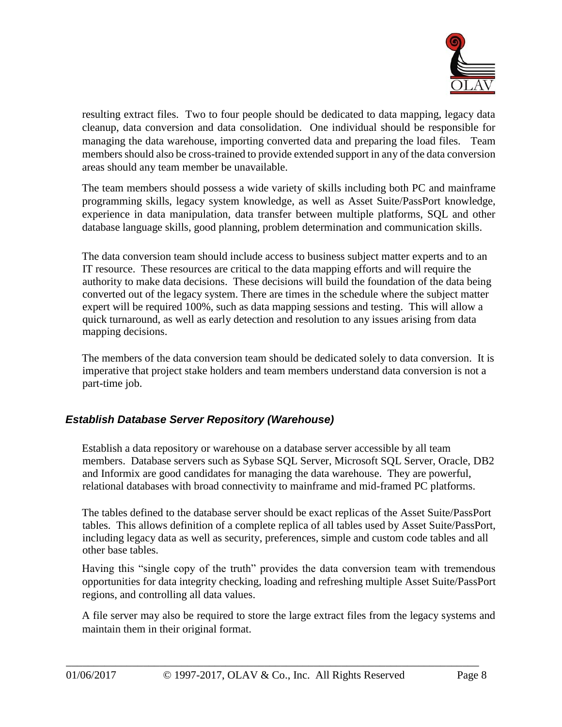

resulting extract files. Two to four people should be dedicated to data mapping, legacy data cleanup, data conversion and data consolidation. One individual should be responsible for managing the data warehouse, importing converted data and preparing the load files. Team members should also be cross-trained to provide extended support in any of the data conversion areas should any team member be unavailable.

The team members should possess a wide variety of skills including both PC and mainframe programming skills, legacy system knowledge, as well as Asset Suite/PassPort knowledge, experience in data manipulation, data transfer between multiple platforms, SQL and other database language skills, good planning, problem determination and communication skills.

The data conversion team should include access to business subject matter experts and to an IT resource. These resources are critical to the data mapping efforts and will require the authority to make data decisions. These decisions will build the foundation of the data being converted out of the legacy system. There are times in the schedule where the subject matter expert will be required 100%, such as data mapping sessions and testing. This will allow a quick turnaround, as well as early detection and resolution to any issues arising from data mapping decisions.

The members of the data conversion team should be dedicated solely to data conversion. It is imperative that project stake holders and team members understand data conversion is not a part-time job.

#### *Establish Database Server Repository (Warehouse)*

Establish a data repository or warehouse on a database server accessible by all team members. Database servers such as Sybase SQL Server, Microsoft SQL Server, Oracle, DB2 and Informix are good candidates for managing the data warehouse. They are powerful, relational databases with broad connectivity to mainframe and mid-framed PC platforms.

The tables defined to the database server should be exact replicas of the Asset Suite/PassPort tables. This allows definition of a complete replica of all tables used by Asset Suite/PassPort, including legacy data as well as security, preferences, simple and custom code tables and all other base tables.

Having this "single copy of the truth" provides the data conversion team with tremendous opportunities for data integrity checking, loading and refreshing multiple Asset Suite/PassPort regions, and controlling all data values.

A file server may also be required to store the large extract files from the legacy systems and maintain them in their original format.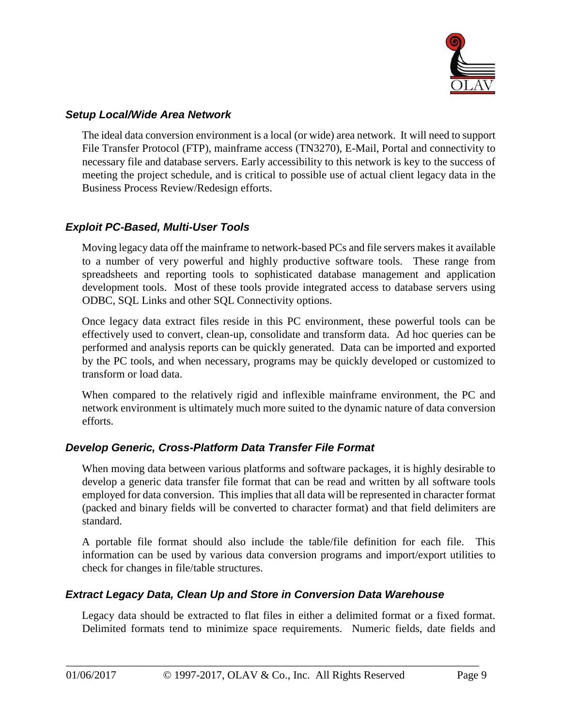

#### *Setup Local/Wide Area Network*

The ideal data conversion environment is a local (or wide) area network. It will need to support File Transfer Protocol (FTP), mainframe access (TN3270), E-Mail, Portal and connectivity to necessary file and database servers. Early accessibility to this network is key to the success of meeting the project schedule, and is critical to possible use of actual client legacy data in the Business Process Review/Redesign efforts.

#### *Exploit PC-Based, Multi-User Tools*

Moving legacy data off the mainframe to network-based PCs and file servers makes it available to a number of very powerful and highly productive software tools. These range from spreadsheets and reporting tools to sophisticated database management and application development tools. Most of these tools provide integrated access to database servers using ODBC, SQL Links and other SQL Connectivity options.

Once legacy data extract files reside in this PC environment, these powerful tools can be effectively used to convert, clean-up, consolidate and transform data. Ad hoc queries can be performed and analysis reports can be quickly generated. Data can be imported and exported by the PC tools, and when necessary, programs may be quickly developed or customized to transform or load data.

When compared to the relatively rigid and inflexible mainframe environment, the PC and network environment is ultimately much more suited to the dynamic nature of data conversion efforts.

#### *Develop Generic, Cross-Platform Data Transfer File Format*

When moving data between various platforms and software packages, it is highly desirable to develop a generic data transfer file format that can be read and written by all software tools employed for data conversion. This implies that all data will be represented in character format (packed and binary fields will be converted to character format) and that field delimiters are standard.

A portable file format should also include the table/file definition for each file. This information can be used by various data conversion programs and import/export utilities to check for changes in file/table structures.

#### *Extract Legacy Data, Clean Up and Store in Conversion Data Warehouse*

Legacy data should be extracted to flat files in either a delimited format or a fixed format. Delimited formats tend to minimize space requirements. Numeric fields, date fields and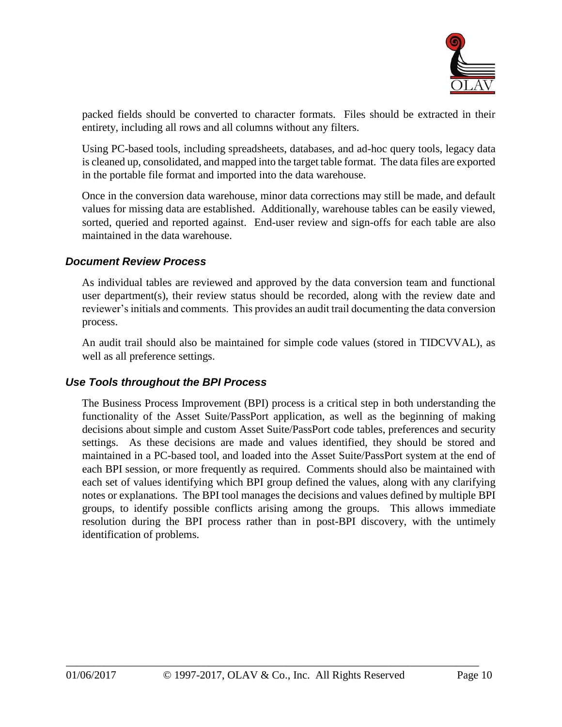

packed fields should be converted to character formats. Files should be extracted in their entirety, including all rows and all columns without any filters.

Using PC-based tools, including spreadsheets, databases, and ad-hoc query tools, legacy data is cleaned up, consolidated, and mapped into the target table format. The data files are exported in the portable file format and imported into the data warehouse.

Once in the conversion data warehouse, minor data corrections may still be made, and default values for missing data are established. Additionally, warehouse tables can be easily viewed, sorted, queried and reported against. End-user review and sign-offs for each table are also maintained in the data warehouse.

#### *Document Review Process*

As individual tables are reviewed and approved by the data conversion team and functional user department(s), their review status should be recorded, along with the review date and reviewer's initials and comments. This provides an audit trail documenting the data conversion process.

An audit trail should also be maintained for simple code values (stored in TIDCVVAL), as well as all preference settings.

#### *Use Tools throughout the BPI Process*

The Business Process Improvement (BPI) process is a critical step in both understanding the functionality of the Asset Suite/PassPort application, as well as the beginning of making decisions about simple and custom Asset Suite/PassPort code tables, preferences and security settings. As these decisions are made and values identified, they should be stored and maintained in a PC-based tool, and loaded into the Asset Suite/PassPort system at the end of each BPI session, or more frequently as required. Comments should also be maintained with each set of values identifying which BPI group defined the values, along with any clarifying notes or explanations. The BPI tool manages the decisions and values defined by multiple BPI groups, to identify possible conflicts arising among the groups. This allows immediate resolution during the BPI process rather than in post-BPI discovery, with the untimely identification of problems.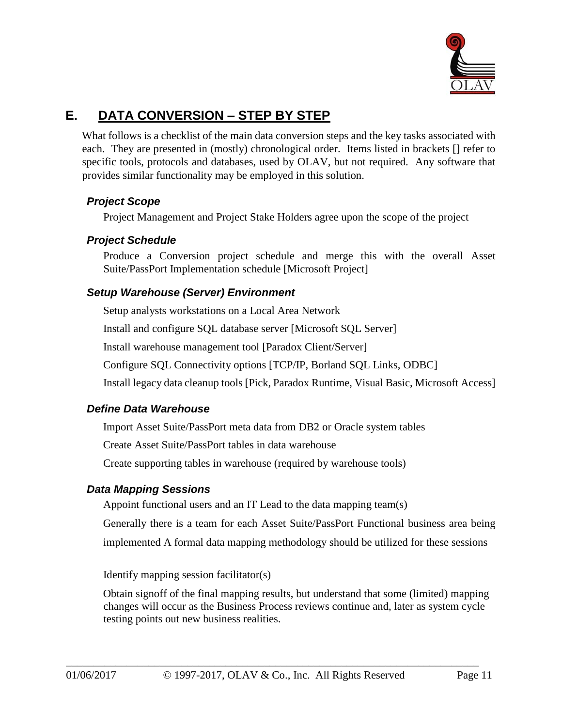

# **E. DATA CONVERSION – STEP BY STEP**

What follows is a checklist of the main data conversion steps and the key tasks associated with each. They are presented in (mostly) chronological order. Items listed in brackets [] refer to specific tools, protocols and databases, used by OLAV, but not required. Any software that provides similar functionality may be employed in this solution.

#### *Project Scope*

Project Management and Project Stake Holders agree upon the scope of the project

#### *Project Schedule*

Produce a Conversion project schedule and merge this with the overall Asset Suite/PassPort Implementation schedule [Microsoft Project]

#### *Setup Warehouse (Server) Environment*

Setup analysts workstations on a Local Area Network

Install and configure SQL database server [Microsoft SQL Server]

Install warehouse management tool [Paradox Client/Server]

Configure SQL Connectivity options [TCP/IP, Borland SQL Links, ODBC]

Install legacy data cleanup tools [Pick, Paradox Runtime, Visual Basic, Microsoft Access]

#### *Define Data Warehouse*

Import Asset Suite/PassPort meta data from DB2 or Oracle system tables

Create Asset Suite/PassPort tables in data warehouse

Create supporting tables in warehouse (required by warehouse tools)

#### *Data Mapping Sessions*

Appoint functional users and an IT Lead to the data mapping team(s)

Generally there is a team for each Asset Suite/PassPort Functional business area being

implemented A formal data mapping methodology should be utilized for these sessions

Identify mapping session facilitator(s)

Obtain signoff of the final mapping results, but understand that some (limited) mapping changes will occur as the Business Process reviews continue and, later as system cycle testing points out new business realities.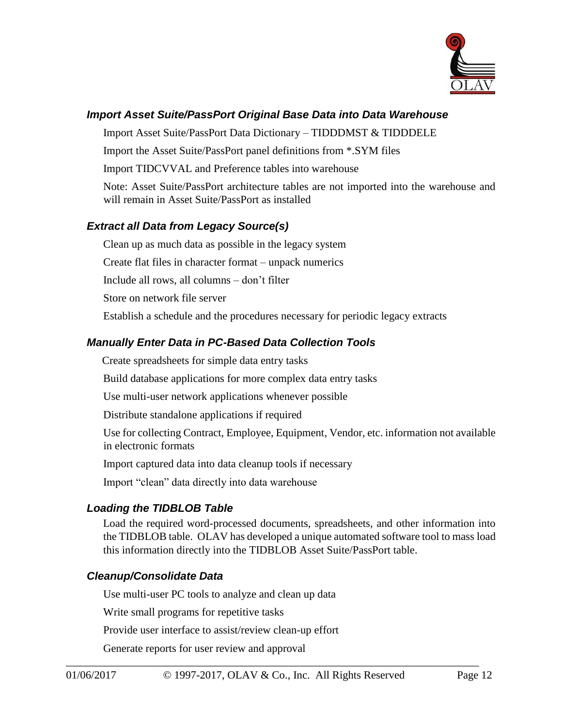

#### *Import Asset Suite/PassPort Original Base Data into Data Warehouse*

Import Asset Suite/PassPort Data Dictionary – TIDDDMST & TIDDDELE

Import the Asset Suite/PassPort panel definitions from \*.SYM files

Import TIDCVVAL and Preference tables into warehouse

Note: Asset Suite/PassPort architecture tables are not imported into the warehouse and will remain in Asset Suite/PassPort as installed

#### *Extract all Data from Legacy Source(s)*

Clean up as much data as possible in the legacy system

Create flat files in character format – unpack numerics

Include all rows, all columns – don't filter

Store on network file server

Establish a schedule and the procedures necessary for periodic legacy extracts

#### *Manually Enter Data in PC-Based Data Collection Tools*

Create spreadsheets for simple data entry tasks

Build database applications for more complex data entry tasks

Use multi-user network applications whenever possible

Distribute standalone applications if required

Use for collecting Contract, Employee, Equipment, Vendor, etc. information not available in electronic formats

Import captured data into data cleanup tools if necessary

Import "clean" data directly into data warehouse

#### *Loading the TIDBLOB Table*

Load the required word-processed documents, spreadsheets, and other information into the TIDBLOB table. OLAV has developed a unique automated software tool to mass load this information directly into the TIDBLOB Asset Suite/PassPort table.

#### *Cleanup/Consolidate Data*

Use multi-user PC tools to analyze and clean up data

Write small programs for repetitive tasks

Provide user interface to assist/review clean-up effort

Generate reports for user review and approval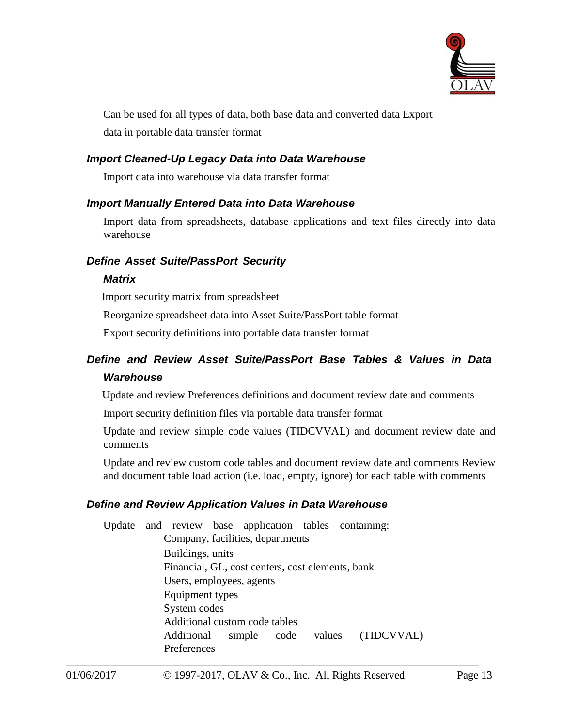

Can be used for all types of data, both base data and converted data Export data in portable data transfer format

#### *Import Cleaned-Up Legacy Data into Data Warehouse*

Import data into warehouse via data transfer format

#### *Import Manually Entered Data into Data Warehouse*

Import data from spreadsheets, database applications and text files directly into data warehouse

#### *Define Asset Suite/PassPort Security*

#### *Matrix*

Import security matrix from spreadsheet

Reorganize spreadsheet data into Asset Suite/PassPort table format

Export security definitions into portable data transfer format

### *Define and Review Asset Suite/PassPort Base Tables & Values in Data Warehouse*

Update and review Preferences definitions and document review date and comments

Import security definition files via portable data transfer format

Update and review simple code values (TIDCVVAL) and document review date and comments

Update and review custom code tables and document review date and comments Review and document table load action (i.e. load, empty, ignore) for each table with comments

#### *Define and Review Application Values in Data Warehouse*

\_\_\_\_\_\_\_\_\_\_\_\_\_\_\_\_\_\_\_\_\_\_\_\_\_\_\_\_\_\_\_\_\_\_\_\_\_\_\_\_\_\_\_\_\_\_\_\_\_\_\_\_\_\_\_\_\_\_\_\_\_\_\_\_\_\_\_\_\_\_\_\_\_\_\_ Update and review base application tables containing: Company, facilities, departments Buildings, units Financial, GL, cost centers, cost elements, bank Users, employees, agents Equipment types System codes Additional custom code tables Additional simple code values (TIDCVVAL) Preferences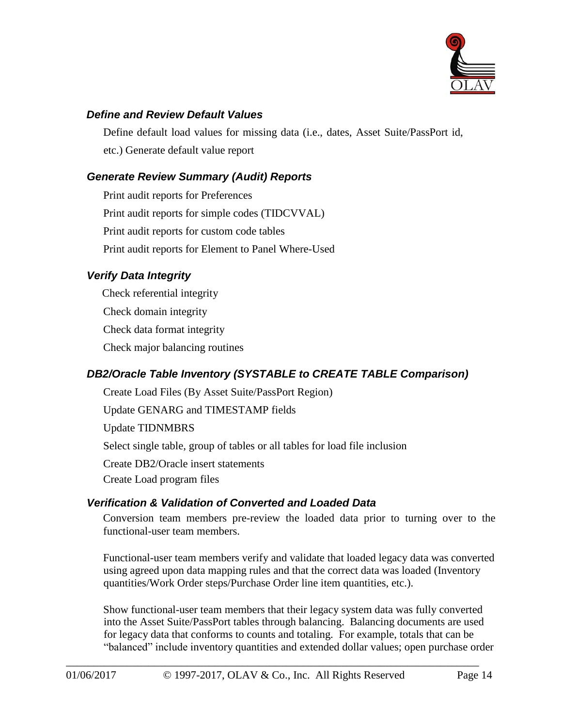

#### *Define and Review Default Values*

Define default load values for missing data (i.e., dates, Asset Suite/PassPort id, etc.) Generate default value report

#### *Generate Review Summary (Audit) Reports*

Print audit reports for Preferences Print audit reports for simple codes (TIDCVVAL) Print audit reports for custom code tables Print audit reports for Element to Panel Where-Used

#### *Verify Data Integrity*

Check referential integrity Check domain integrity Check data format integrity Check major balancing routines

#### *DB2/Oracle Table Inventory (SYSTABLE to CREATE TABLE Comparison)*

Create Load Files (By Asset Suite/PassPort Region)

Update GENARG and TIMESTAMP fields

Update TIDNMBRS

Select single table, group of tables or all tables for load file inclusion

Create DB2/Oracle insert statements

Create Load program files

#### *Verification & Validation of Converted and Loaded Data*

Conversion team members pre-review the loaded data prior to turning over to the functional-user team members.

Functional-user team members verify and validate that loaded legacy data was converted using agreed upon data mapping rules and that the correct data was loaded (Inventory quantities/Work Order steps/Purchase Order line item quantities, etc.).

Show functional-user team members that their legacy system data was fully converted into the Asset Suite/PassPort tables through balancing. Balancing documents are used for legacy data that conforms to counts and totaling. For example, totals that can be "balanced" include inventory quantities and extended dollar values; open purchase order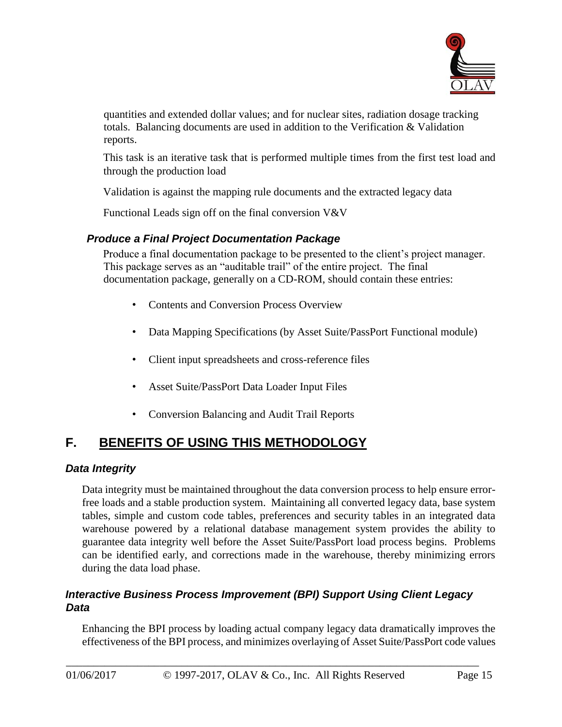

quantities and extended dollar values; and for nuclear sites, radiation dosage tracking totals. Balancing documents are used in addition to the Verification & Validation reports.

This task is an iterative task that is performed multiple times from the first test load and through the production load

Validation is against the mapping rule documents and the extracted legacy data

Functional Leads sign off on the final conversion V&V

### *Produce a Final Project Documentation Package*

Produce a final documentation package to be presented to the client's project manager. This package serves as an "auditable trail" of the entire project. The final documentation package, generally on a CD-ROM, should contain these entries:

- Contents and Conversion Process Overview
- Data Mapping Specifications (by Asset Suite/PassPort Functional module)
- Client input spreadsheets and cross-reference files
- Asset Suite/PassPort Data Loader Input Files
- Conversion Balancing and Audit Trail Reports

# **F. BENEFITS OF USING THIS METHODOLOGY**

### *Data Integrity*

Data integrity must be maintained throughout the data conversion process to help ensure errorfree loads and a stable production system. Maintaining all converted legacy data, base system tables, simple and custom code tables, preferences and security tables in an integrated data warehouse powered by a relational database management system provides the ability to guarantee data integrity well before the Asset Suite/PassPort load process begins. Problems can be identified early, and corrections made in the warehouse, thereby minimizing errors during the data load phase.

### *Interactive Business Process Improvement (BPI) Support Using Client Legacy Data*

Enhancing the BPI process by loading actual company legacy data dramatically improves the effectiveness of the BPI process, and minimizes overlaying of Asset Suite/PassPort code values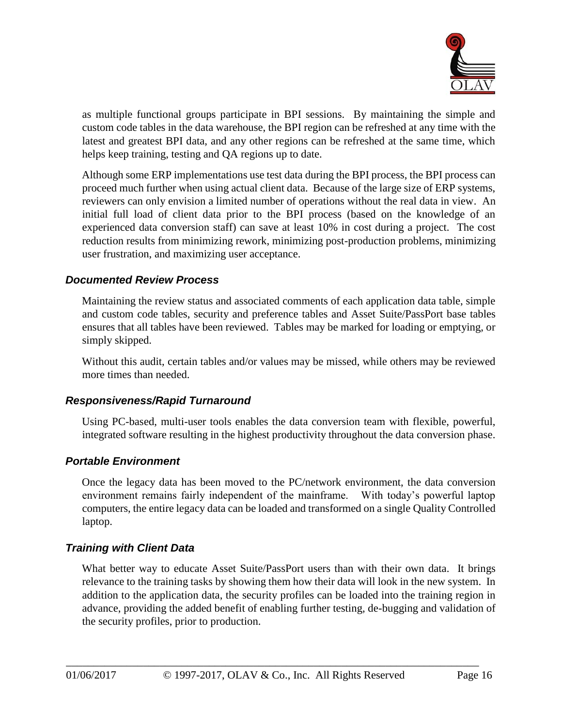

as multiple functional groups participate in BPI sessions. By maintaining the simple and custom code tables in the data warehouse, the BPI region can be refreshed at any time with the latest and greatest BPI data, and any other regions can be refreshed at the same time, which helps keep training, testing and QA regions up to date.

Although some ERP implementations use test data during the BPI process, the BPI process can proceed much further when using actual client data. Because of the large size of ERP systems, reviewers can only envision a limited number of operations without the real data in view. An initial full load of client data prior to the BPI process (based on the knowledge of an experienced data conversion staff) can save at least 10% in cost during a project. The cost reduction results from minimizing rework, minimizing post-production problems, minimizing user frustration, and maximizing user acceptance.

#### *Documented Review Process*

Maintaining the review status and associated comments of each application data table, simple and custom code tables, security and preference tables and Asset Suite/PassPort base tables ensures that all tables have been reviewed. Tables may be marked for loading or emptying, or simply skipped.

Without this audit, certain tables and/or values may be missed, while others may be reviewed more times than needed.

#### *Responsiveness/Rapid Turnaround*

Using PC-based, multi-user tools enables the data conversion team with flexible, powerful, integrated software resulting in the highest productivity throughout the data conversion phase.

#### *Portable Environment*

Once the legacy data has been moved to the PC/network environment, the data conversion environment remains fairly independent of the mainframe. With today's powerful laptop computers, the entire legacy data can be loaded and transformed on a single Quality Controlled laptop.

#### *Training with Client Data*

What better way to educate Asset Suite/PassPort users than with their own data. It brings relevance to the training tasks by showing them how their data will look in the new system. In addition to the application data, the security profiles can be loaded into the training region in advance, providing the added benefit of enabling further testing, de-bugging and validation of the security profiles, prior to production.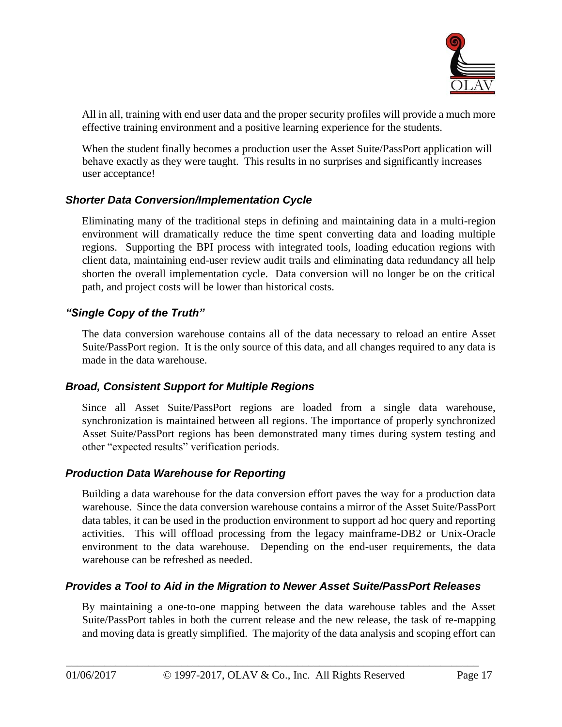

All in all, training with end user data and the proper security profiles will provide a much more effective training environment and a positive learning experience for the students.

When the student finally becomes a production user the Asset Suite/PassPort application will behave exactly as they were taught. This results in no surprises and significantly increases user acceptance!

#### *Shorter Data Conversion/Implementation Cycle*

Eliminating many of the traditional steps in defining and maintaining data in a multi-region environment will dramatically reduce the time spent converting data and loading multiple regions. Supporting the BPI process with integrated tools, loading education regions with client data, maintaining end-user review audit trails and eliminating data redundancy all help shorten the overall implementation cycle. Data conversion will no longer be on the critical path, and project costs will be lower than historical costs.

#### *"Single Copy of the Truth"*

The data conversion warehouse contains all of the data necessary to reload an entire Asset Suite/PassPort region. It is the only source of this data, and all changes required to any data is made in the data warehouse.

#### *Broad, Consistent Support for Multiple Regions*

Since all Asset Suite/PassPort regions are loaded from a single data warehouse, synchronization is maintained between all regions. The importance of properly synchronized Asset Suite/PassPort regions has been demonstrated many times during system testing and other "expected results" verification periods.

#### *Production Data Warehouse for Reporting*

Building a data warehouse for the data conversion effort paves the way for a production data warehouse. Since the data conversion warehouse contains a mirror of the Asset Suite/PassPort data tables, it can be used in the production environment to support ad hoc query and reporting activities. This will offload processing from the legacy mainframe-DB2 or Unix-Oracle environment to the data warehouse. Depending on the end-user requirements, the data warehouse can be refreshed as needed.

#### *Provides a Tool to Aid in the Migration to Newer Asset Suite/PassPort Releases*

By maintaining a one-to-one mapping between the data warehouse tables and the Asset Suite/PassPort tables in both the current release and the new release, the task of re-mapping and moving data is greatly simplified. The majority of the data analysis and scoping effort can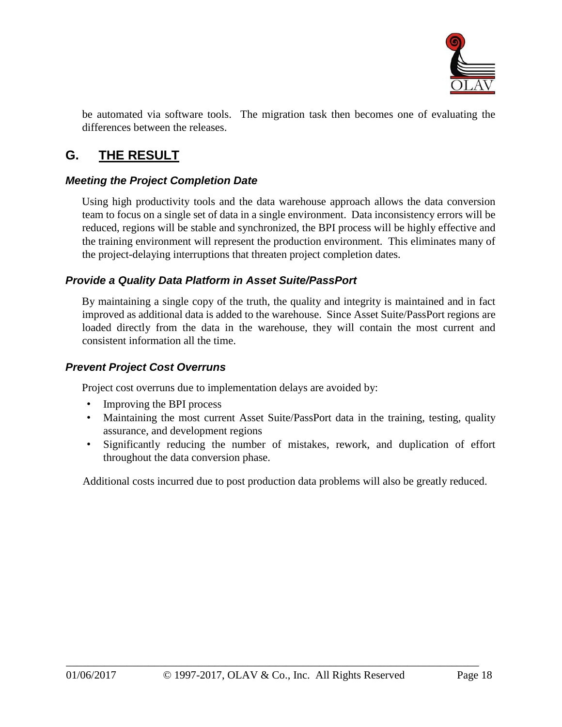

be automated via software tools. The migration task then becomes one of evaluating the differences between the releases.

# **G. THE RESULT**

#### *Meeting the Project Completion Date*

Using high productivity tools and the data warehouse approach allows the data conversion team to focus on a single set of data in a single environment. Data inconsistency errors will be reduced, regions will be stable and synchronized, the BPI process will be highly effective and the training environment will represent the production environment. This eliminates many of the project-delaying interruptions that threaten project completion dates.

#### *Provide a Quality Data Platform in Asset Suite/PassPort*

By maintaining a single copy of the truth, the quality and integrity is maintained and in fact improved as additional data is added to the warehouse. Since Asset Suite/PassPort regions are loaded directly from the data in the warehouse, they will contain the most current and consistent information all the time.

#### *Prevent Project Cost Overruns*

Project cost overruns due to implementation delays are avoided by:

- Improving the BPI process
- Maintaining the most current Asset Suite/PassPort data in the training, testing, quality assurance, and development regions
- Significantly reducing the number of mistakes, rework, and duplication of effort throughout the data conversion phase.

Additional costs incurred due to post production data problems will also be greatly reduced.